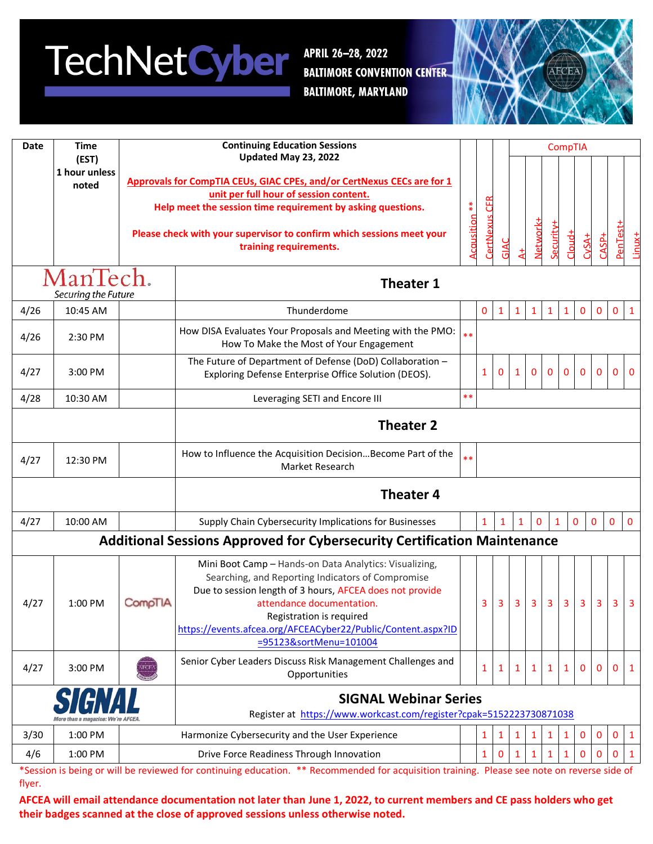## **TechNetCyber**

APRIL 26-28, 2022 **BALTIMORE CONVENTION CENTER. BALTIMORE, MARYLAND** 



| <b>Date</b>                     | <b>Time</b><br>(EST)   |                      | <b>Continuing Education Sessions</b>                                                                                                                                                                                                                                                                                       |            |               |              |              |              |                | <b>CompTIA</b> |                |                |                |                |
|---------------------------------|------------------------|----------------------|----------------------------------------------------------------------------------------------------------------------------------------------------------------------------------------------------------------------------------------------------------------------------------------------------------------------------|------------|---------------|--------------|--------------|--------------|----------------|----------------|----------------|----------------|----------------|----------------|
|                                 |                        | Updated May 23, 2022 |                                                                                                                                                                                                                                                                                                                            |            |               |              |              |              |                |                |                |                |                |                |
|                                 | 1 hour unless<br>noted |                      | Approvals for CompTIA CEUs, GIAC CPEs, and/or CertNexus CECs are for 1                                                                                                                                                                                                                                                     |            |               |              |              |              |                |                |                |                |                |                |
|                                 |                        |                      | unit per full hour of session content.                                                                                                                                                                                                                                                                                     | $*$        |               |              |              |              |                |                |                |                |                |                |
|                                 |                        |                      | Help meet the session time requirement by asking questions.                                                                                                                                                                                                                                                                |            |               |              |              |              |                |                |                |                |                |                |
|                                 |                        |                      | Please check with your supervisor to confirm which sessions meet your<br>training requirements.                                                                                                                                                                                                                            | Acausition | CertNexus CFR | GIA          |              | Network+     | Security+      | Cloud+         | $CvSA+$        | $2ASP+$        | PenTest+       |                |
| ManTech.<br>Securing the Future |                        |                      | <b>Theater 1</b>                                                                                                                                                                                                                                                                                                           |            |               |              |              |              |                |                |                |                |                |                |
| 4/26                            | 10:45 AM               |                      | Thunderdome                                                                                                                                                                                                                                                                                                                |            | $\mathbf 0$   | $\mathbf{1}$ | $\mathbf{1}$ | $\mathbf{1}$ | $\mathbf{1}$   | $\mathbf{1}$   | $\pmb{0}$      | 0              | $\mathbf 0$    | $\mathbf{1}$   |
| 4/26                            | 2:30 PM                |                      | How DISA Evaluates Your Proposals and Meeting with the PMO:<br>How To Make the Most of Your Engagement                                                                                                                                                                                                                     | $**$       |               |              |              |              |                |                |                |                |                |                |
| 4/27                            | 3:00 PM                |                      | The Future of Department of Defense (DoD) Collaboration -<br>Exploring Defense Enterprise Office Solution (DEOS).                                                                                                                                                                                                          |            | $\mathbf{1}$  | $\mathbf{0}$ | 1            | 0            | 0              | $\mathbf{0}$   | 0              | $\mathbf{0}$   | $\mathbf{0}$   | $\mathbf 0$    |
| 4/28                            | 10:30 AM               |                      | Leveraging SETI and Encore III                                                                                                                                                                                                                                                                                             | $**$       |               |              |              |              |                |                |                |                |                |                |
|                                 |                        |                      | <b>Theater 2</b>                                                                                                                                                                                                                                                                                                           |            |               |              |              |              |                |                |                |                |                |                |
| 4/27                            | 12:30 PM               |                      | How to Influence the Acquisition DecisionBecome Part of the<br>Market Research                                                                                                                                                                                                                                             | $**$       |               |              |              |              |                |                |                |                |                |                |
|                                 |                        |                      | <b>Theater 4</b>                                                                                                                                                                                                                                                                                                           |            |               |              |              |              |                |                |                |                |                |                |
| 4/27                            | 10:00 AM               |                      | Supply Chain Cybersecurity Implications for Businesses                                                                                                                                                                                                                                                                     |            | $\mathbf{1}$  | 1            | $\mathbf{1}$ | $\mathbf{0}$ | $\mathbf{1}$   |                | 0              | $\mathbf{0}$   | 0              | 0              |
|                                 |                        |                      | <b>Additional Sessions Approved for Cybersecurity Certification Maintenance</b>                                                                                                                                                                                                                                            |            |               |              |              |              |                |                |                |                |                |                |
| 4/27                            | 1:00 PM                | CompTIA              | Mini Boot Camp - Hands-on Data Analytics: Visualizing,<br>Searching, and Reporting Indicators of Compromise<br>Due to session length of 3 hours, AFCEA does not provide<br>attendance documentation.<br>Registration is required<br>https://events.afcea.org/AFCEACyber22/Public/Content.aspx?ID<br>=95123&sortMenu=101004 |            | 3             | 3            | 3            | $\mathbf{3}$ | $\overline{3}$ | $\overline{3}$ | 3 <sup>1</sup> | 3 <sup>1</sup> | 3 <sup>1</sup> | $\overline{3}$ |
| 4/27                            | 3:00 PM                |                      | Senior Cyber Leaders Discuss Risk Management Challenges and<br>Opportunities                                                                                                                                                                                                                                               |            | 1             | 1            | 1            |              |                | 1              | 0              | 0              | $\mathbf 0$    | 1              |
|                                 |                        |                      | <b>SIGNAL Webinar Series</b><br>Register at https://www.workcast.com/register?cpak=5152223730871038                                                                                                                                                                                                                        |            |               |              |              |              |                |                |                |                |                |                |
| 3/30                            | 1:00 PM                |                      | Harmonize Cybersecurity and the User Experience                                                                                                                                                                                                                                                                            |            | $\mathbf{1}$  | $\mathbf{1}$ | 1            |              | 1              | 1              | 0              | 0              | 0              | 1              |
| 4/6                             | 1:00 PM                |                      | Drive Force Readiness Through Innovation                                                                                                                                                                                                                                                                                   |            | $\mathbf{1}$  | 0            |              |              |                | $\mathbf{1}$   | $\Omega$       | 0              | 0              | 1              |
|                                 |                        |                      | be reviewed for continuing education ** Recommended for acquisition                                                                                                                                                                                                                                                        |            |               |              |              |              |                |                |                |                |                |                |

\*Session is being or will be reviewed for continuing education. \*\* Recommended for acquisition training. Please see note on reverse side of flyer.

**AFCEA will email attendance documentation not later than June 1, 2022, to current members and CE pass holders who get their badges scanned at the close of approved sessions unless otherwise noted.**